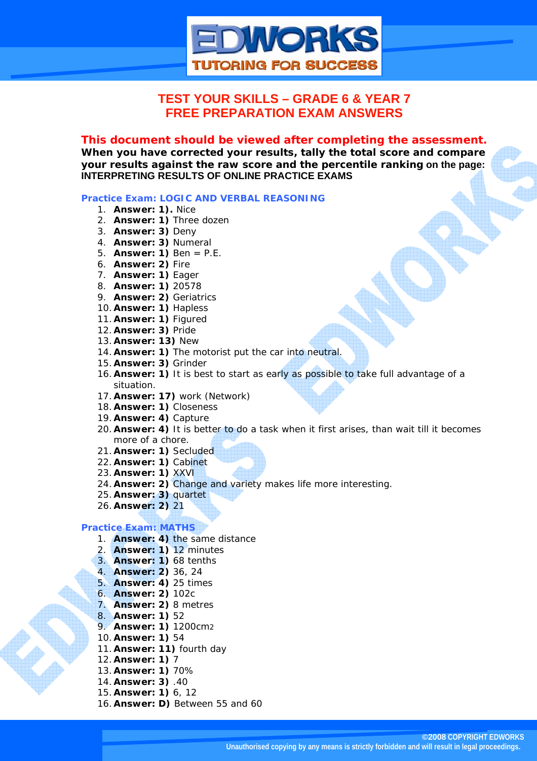

# **TEST YOUR SKILLS – GRADE 6 & YEAR 7 FREE PREPARATION EXAM ANSWERS**

### *This document should be viewed after completing the assessment.*

**When you have corrected your results, tally the total score and compare your results against the raw score and the percentile ranking on the page: INTERPRETING RESULTS OF ONLINE PRACTICE EXAMS** 

#### **Practice Exam: LOGIC AND VERBAL REASONING**

- 1. **Answer: 1).** Nice
- 2. **Answer: 1)** Three dozen
- 3. **Answer: 3)** Deny
- 4. **Answer: 3)** Numeral
- 5. **Answer: 1)** Ben = P.E.
- 6. **Answer: 2)** Fire
- 7. **Answer: 1)** Eager
- 8. **Answer: 1)** 20578
- 9. **Answer: 2)** Geriatrics
- 10. **Answer: 1)** Hapless
- 11. **Answer: 1)** Figured
- 12. **Answer: 3)** Pride
- 13. **Answer: 13)** New
- 14. **Answer: 1)** The motorist put the car into neutral.
- 15. **Answer: 3)** Grinder
- 16. **Answer: 1)** It is best to start as early as possible to take full advantage of a situation.
- 17. **Answer: 17)** work (Network)
- 18. **Answer: 1)** Closeness
- 19. **Answer: 4)** Capture
- 20. **Answer: 4)** It is better to do a task when it first arises, than wait till it becomes more of a chore.
- 21. **Answer: 1)** Secluded
- 22. **Answer: 1)** Cabinet
- 23. **Answer: 1)** XXVI
- 24. **Answer: 2)** Change and variety makes life more interesting.
- 25. **Answer: 3)** quartet
- 26. **Answer: 2)** 21

#### **Practice Exam: MATHS**

- 1. **Answer: 4)** the same distance
- 2. **Answer: 1)** 12 minutes
- 3. **Answer: 1)** 68 tenths
- 4. **Answer: 2)** 36, 24
- 5. **Answer: 4)** 25 times
- 6. **Answer: 2)** 102c
- 7. **Answer: 2)** 8 metres
- 8. **Answer: 1)** 52
- 9. **Answer: 1)** 1200cm2
- 10. **Answer: 1)** 54
- 11. **Answer: 11)** fourth day
- 12. **Answer: 1)** 7
- 13. **Answer: 1)** 70%
- 14. **Answer: 3)** .40
- 15. **Answer: 1)** 6, 12
- 16. **Answer: D)** Between 55 and 60